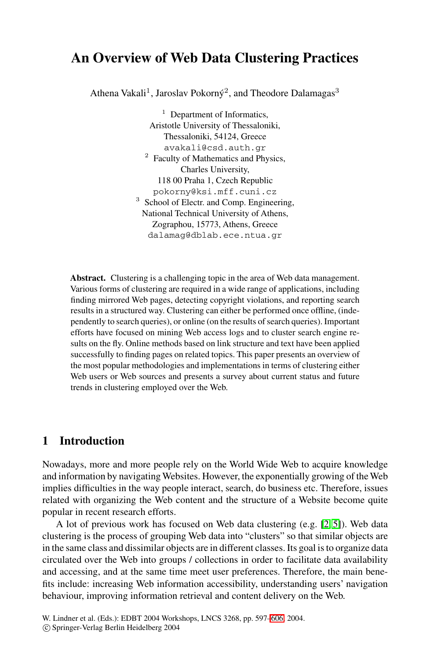## **An Overview of Web Data Clustering Practices**

Athena Vakali<sup>1</sup>, Jaroslav Pokorný<sup>2</sup>, and Theodore Dalamagas<sup>3</sup>

 $<sup>1</sup>$  Department of Informatics,</sup> Aristotle University of Thessaloniki, Thessaloniki, 54124, Greece avakali@csd.auth.gr <sup>2</sup> Faculty of Mathematics and Physics, Charles University, 118 00 Praha 1, Czech Republic pokorny@ksi.mff.cuni.cz <sup>3</sup> School of Electr. and Comp. Engineering, National Technical University of Athens, Zographou, 15773, Athens, Greece dalamag@dblab.ece.ntua.gr

**Abstract.** Clustering is a challenging topic in the area of Web data management. Various forms of clustering are required in a wide range of applications, including finding mirrored Web pages, detecting copyright violations, and reporting search results in a structured way. Clustering can either be performed once offline, (independently to search queries), or online (on the results of search queries). Important efforts have focused on mining Web access logs and to cluster search engine results on the fly. Online methods based on link structure and text have been applied successfully to finding pages on related topics. This paper presents an overview of the most popular methodologies and implementations in terms of clustering either Web users or Web sources and presents a survey about current status and future trends in clustering employed over the Web.

### **1 Introduction**

Nowadays, more and more people rely on the World Wide Web to acquire knowledge and information by navigating Websites. However, the exponentially growing of the Web implies difficulties in the way people interact, search, do business etc. Therefore, issues related with organizing the Web content and the structure of a Website become quite popular in recent research efforts.

A lot of previous work has focused on Web data clustering (e.g. [\[2,](#page-7-0) [5\]](#page-8-0)). Web data clustering is the process of grouping Web data into "clusters" so that similar objects are in the same class and dissimilar objects are in different classes. Its goal is to organize data circulated over the Web into groups / collections in order to facilitate data availability and accessing, and at the same time meet user preferences. Therefore, the main benefits include: increasing Web information accessibility, understanding users' navigation behaviour, improving information retrieval and content delivery on the Web.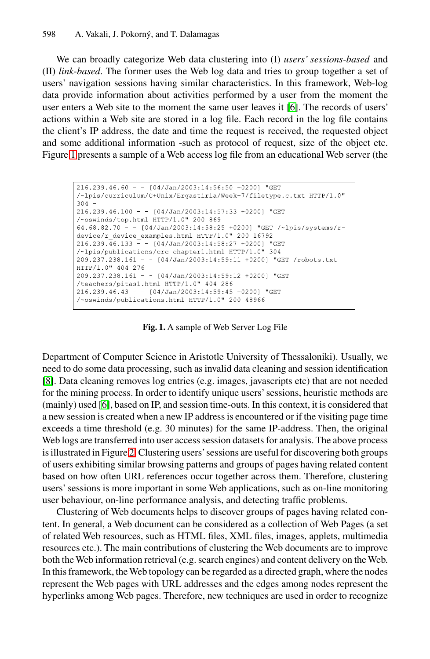We can broadly categorize Web data clustering into (I) *users' sessions-based* and (II) *link-based*. The former uses the Web log data and tries to group together a set of users' navigation sessions having similar characteristics. In this framework, Web-log data provide information about activities performed by a user from the moment the user enters a Web site to the moment the same user leaves it [\[6\]](#page-8-0). The records of users' actions within a Web site are stored in a log file. Each record in the log file contains the client's IP address, the date and time the request is received, the requested object and some additional information -such as protocol of request, size of the object etc. Figure 1 presents a sample of a Web access log file from an educational Web server (the

```
216.239.46.60 - - [04/Jan/2003:14:56:50 +0200] "GET
/~lpis/curriculum/C+Unix/Ergastiria/Week-7/filetype.c.txt HTTP/1.0"
304 -216.239.46.100 - [04/Jan/2003:14:57:33 +0200] "GET
/~oswinds/top.html HTTP/1.0" 200 869
64.68.82.70 - - [04/Jan/2003:14:58:25 +0200] "GET /~lpis/systems/r-
device/r_device_examples.html HTTP/1.0" 200 16792
216.239.46.133 - - [04/Jan/2003:14:58:27 +0200] "GET
/~lpis/publications/crc-chapter1.html HTTP/1.0" 304 -
209.237.238.161 - - [04/Jan/2003:14:59:11 +0200] "GET /robots.txt
HTTP/1.0" 404 276
209.237.238.161 - - [04/Jan/2003:14:59:12 +0200] "GET
/teachers/pitas1.html HTTP/1.0" 404 286
216.239.46.43 - - [04/Jan/2003:14:59:45 +0200] "GET
/~oswinds/publications.html HTTP/1.0" 200 48966
```
**Fig. 1.** A sample of Web Server Log File

Department of Computer Science in Aristotle University of Thessaloniki). Usually, we need to do some data processing, such as invalid data cleaning and session identification [\[8\]](#page-8-0). Data cleaning removes log entries (e.g. images, javascripts etc) that are not needed for the mining process. In order to identify unique users' sessions, heuristic methods are (mainly) used [\[6\]](#page-8-0), based on IP, and session time-outs. In this context, it is considered that a new session is created when a new IP address is encountered or if the visiting page time exceeds a time threshold (e.g. 30 minutes) for the same IP-address. Then, the original Web logs are transferred into user access session datasets for analysis. The above process is illustrated in Figure [2.](#page-2-0) Clustering users'sessions are useful for discovering both groups of users exhibiting similar browsing patterns and groups of pages having related content based on how often URL references occur together across them. Therefore, clustering users' sessions is more important in some Web applications, such as on-line monitoring user behaviour, on-line performance analysis, and detecting traffic problems.

Clustering of Web documents helps to discover groups of pages having related content. In general, a Web document can be considered as a collection of Web Pages (a set of related Web resources, such as HTML files, XML files, images, applets, multimedia resources etc.). The main contributions of clustering the Web documents are to improve both the Web information retrieval (e.g. search engines) and content delivery on the Web. In this framework, the Web topology can be regarded as a directed graph, where the nodes represent the Web pages with URL addresses and the edges among nodes represent the hyperlinks among Web pages. Therefore, new techniques are used in order to recognize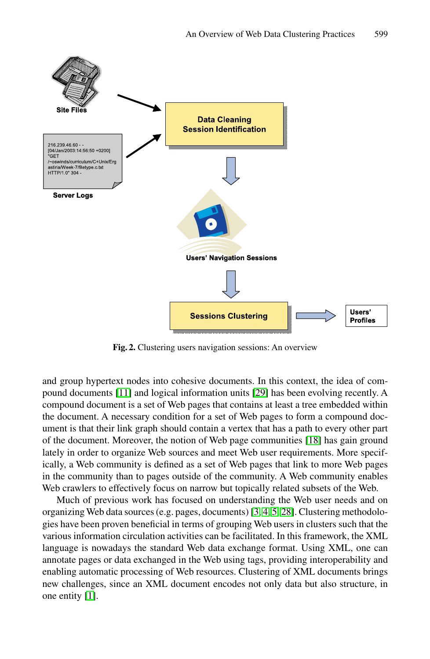<span id="page-2-0"></span>

**Fig. 2.** Clustering users navigation sessions: An overview

and group hypertext nodes into cohesive documents. In this context, the idea of compound documents [\[11\]](#page-8-0) and logical information units [\[29\]](#page-9-0) has been evolving recently. A compound document is a set of Web pages that contains at least a tree embedded within the document. A necessary condition for a set of Web pages to form a compound document is that their link graph should contain a vertex that has a path to every other part of the document. Moreover, the notion of Web page communities [\[18\]](#page-8-0) has gain ground lately in order to organize Web sources and meet Web user requirements. More specifically, a Web community is defined as a set of Web pages that link to more Web pages in the community than to pages outside of the community. A Web community enables Web crawlers to effectively focus on narrow but topically related subsets of the Web.

Much of previous work has focused on understanding the Web user needs and on organizing Web data sources (e.g. pages, documents) [\[3, 4, 5,](#page-8-0) [28\]](#page-9-0). Clustering methodologies have been proven beneficial in terms of grouping Web users in clusters such that the various information circulation activities can be facilitated. In this framework, the XML language is nowadays the standard Web data exchange format. Using XML, one can annotate pages or data exchanged in the Web using tags, providing interoperability and enabling automatic processing of Web resources. Clustering of XML documents brings new challenges, since an XML document encodes not only data but also structure, in one entity [\[1\]](#page-7-0).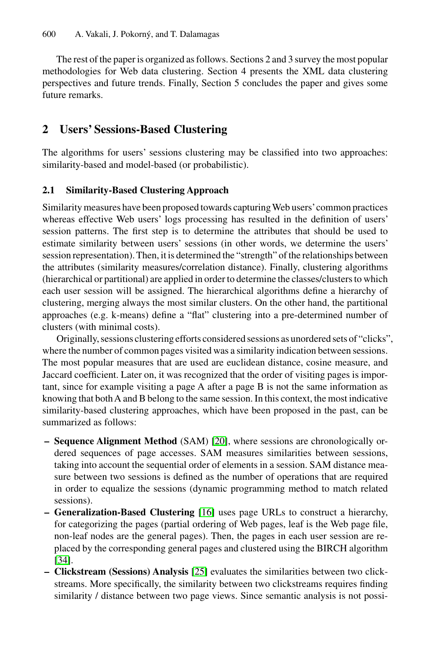The rest of the paper is organized as follows. Sections 2 and 3 survey the most popular methodologies for Web data clustering. Section 4 presents the XML data clustering perspectives and future trends. Finally, Section 5 concludes the paper and gives some future remarks.

## **2 Users' Sessions-Based Clustering**

The algorithms for users' sessions clustering may be classified into two approaches: similarity-based and model-based (or probabilistic).

### **2.1 Similarity-Based Clustering Approach**

Similarity measures have been proposed towards capturingWeb users'common practices whereas effective Web users' logs processing has resulted in the definition of users' session patterns. The first step is to determine the attributes that should be used to estimate similarity between users' sessions (in other words, we determine the users' session representation). Then, it is determined the "strength" of the relationships between the attributes (similarity measures/correlation distance). Finally, clustering algorithms (hierarchical or partitional) are applied in order to determine the classes/clusters to which each user session will be assigned. The hierarchical algorithms define a hierarchy of clustering, merging always the most similar clusters. On the other hand, the partitional approaches (e.g. k-means) define a "flat" clustering into a pre-determined number of clusters (with minimal costs).

Originally, sessions clustering efforts considered sessions as unordered sets of "clicks", where the number of common pages visited was a similarity indication between sessions. The most popular measures that are used are euclidean distance, cosine measure, and Jaccard coefficient. Later on, it was recognized that the order of visiting pages is important, since for example visiting a page A after a page B is not the same information as knowing that bothA and B belong to the same session. In this context, the most indicative similarity-based clustering approaches, which have been proposed in the past, can be summarized as follows:

- **Sequence Alignment Method** (SAM) [\[20\]](#page-8-0), where sessions are chronologically ordered sequences of page accesses. SAM measures similarities between sessions, taking into account the sequential order of elements in a session. SAM distance measure between two sessions is defined as the number of operations that are required in order to equalize the sessions (dynamic programming method to match related sessions).
- **Generalization-Based Clustering** [\[16\]](#page-8-0) uses page URLs to construct a hierarchy, for categorizing the pages (partial ordering of Web pages, leaf is the Web page file, non-leaf nodes are the general pages). Then, the pages in each user session are replaced by the corresponding general pages and clustered using the BIRCH algorithm [\[34\]](#page-9-0).
- **Clickstream (Sessions) Analysis** [\[25\]](#page-8-0) evaluates the similarities between two clickstreams. More specifically, the similarity between two clickstreams requires finding similarity / distance between two page views. Since semantic analysis is not possi-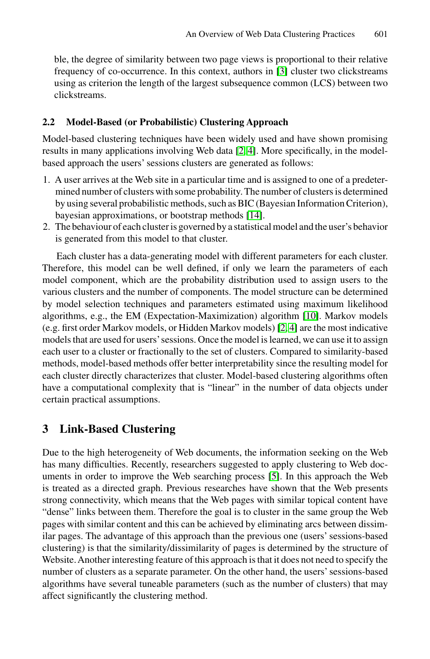ble, the degree of similarity between two page views is proportional to their relative frequency of co-occurrence. In this context, authors in [\[3\]](#page-8-0) cluster two clickstreams using as criterion the length of the largest subsequence common (LCS) between two clickstreams.

#### **2.2 Model-Based (or Probabilistic) Clustering Approach**

Model-based clustering techniques have been widely used and have shown promising results in many applications involving Web data [\[2,](#page-7-0) [4\]](#page-8-0). More specifically, in the modelbased approach the users' sessions clusters are generated as follows:

- 1. A user arrives at the Web site in a particular time and is assigned to one of a predetermined number of clusters with some probability. The number of clusters is determined by using several probabilistic methods, such as BIC (Bayesian Information Criterion), bayesian approximations, or bootstrap methods [\[14\]](#page-8-0).
- 2. The behaviour of each cluster is governed by a statistical model and the user's behavior is generated from this model to that cluster.

Each cluster has a data-generating model with different parameters for each cluster. Therefore, this model can be well defined, if only we learn the parameters of each model component, which are the probability distribution used to assign users to the various clusters and the number of components. The model structure can be determined by model selection techniques and parameters estimated using maximum likelihood algorithms, e.g., the EM (Expectation-Maximization) algorithm [\[10\]](#page-8-0). Markov models (e.g. first order Markov models, or Hidden Markov models) [\[2,](#page-7-0) [4\]](#page-8-0) are the most indicative models that are used for users'sessions. Once the model is learned, we can use it to assign each user to a cluster or fractionally to the set of clusters. Compared to similarity-based methods, model-based methods offer better interpretability since the resulting model for each cluster directly characterizes that cluster. Model-based clustering algorithms often have a computational complexity that is "linear" in the number of data objects under certain practical assumptions.

## **3 Link-Based Clustering**

Due to the high heterogeneity of Web documents, the information seeking on the Web has many difficulties. Recently, researchers suggested to apply clustering to Web documents in order to improve the Web searching process [\[5\]](#page-8-0). In this approach the Web is treated as a directed graph. Previous researches have shown that the Web presents strong connectivity, which means that the Web pages with similar topical content have "dense" links between them. Therefore the goal is to cluster in the same group the Web pages with similar content and this can be achieved by eliminating arcs between dissimilar pages. The advantage of this approach than the previous one (users' sessions-based clustering) is that the similarity/dissimilarity of pages is determined by the structure of Website.Another interesting feature of this approach is that it does not need to specify the number of clusters as a separate parameter. On the other hand, the users' sessions-based algorithms have several tuneable parameters (such as the number of clusters) that may affect significantly the clustering method.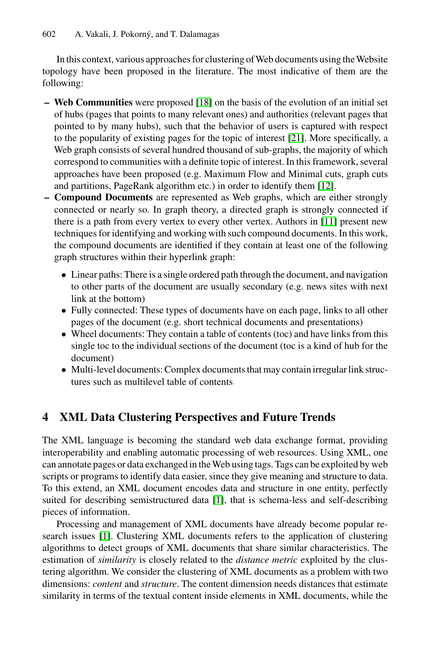In this context, various approaches for clustering ofWeb documents using theWebsite topology have been proposed in the literature. The most indicative of them are the following:

- **Web Communities** were proposed [\[18\]](#page-8-0) on the basis of the evolution of an initial set of hubs (pages that points to many relevant ones) and authorities (relevant pages that pointed to by many hubs), such that the behavior of users is captured with respect to the popularity of existing pages for the topic of interest [\[21\]](#page-8-0). More specifically, a Web graph consists of several hundred thousand of sub-graphs, the majority of which correspond to communities with a definite topic of interest. In this framework, several approaches have been proposed (e.g. Maximum Flow and Minimal cuts, graph cuts and partitions, PageRank algorithm etc.) in order to identify them [\[12\]](#page-8-0).
- **Compound Documents** are represented as Web graphs, which are either strongly connected or nearly so. In graph theory, a directed graph is strongly connected if there is a path from every vertex to every other vertex. Authors in [\[11\]](#page-8-0) present new techniques for identifying and working with such compound documents. In this work, the compound documents are identified if they contain at least one of the following graph structures within their hyperlink graph:
	- Linear paths: There is a single ordered path through the document, and navigation to other parts of the document are usually secondary (e.g. news sites with next link at the bottom)
	- Fully connected: These types of documents have on each page, links to all other pages of the document (e.g. short technical documents and presentations)
	- Wheel documents: They contain a table of contents (toc) and have links from this single toc to the individual sections of the document (toc is a kind of hub for the document)
	- Multi-level documents: Complex documents that may contain irregular link structures such as multilevel table of contents

# **4 XML Data Clustering Perspectives and Future Trends**

The XML language is becoming the standard web data exchange format, providing interoperability and enabling automatic processing of web resources. Using XML, one can annotate pages or data exchanged in the Web using tags. Tags can be exploited by web scripts or programs to identify data easier, since they give meaning and structure to data. To this extend, an XML document encodes data and structure in one entity, perfectly suited for describing semistructured data [\[1\]](#page-7-0), that is schema-less and self-describing pieces of information.

Processing and management of XML documents have already become popular research issues [\[1\]](#page-7-0). Clustering XML documents refers to the application of clustering algorithms to detect groups of XML documents that share similar characteristics. The estimation of *similarity* is closely related to the *distance metric* exploited by the clustering algorithm. We consider the clustering of XML documents as a problem with two dimensions: *content* and *structure*. The content dimension needs distances that estimate similarity in terms of the textual content inside elements in XML documents, while the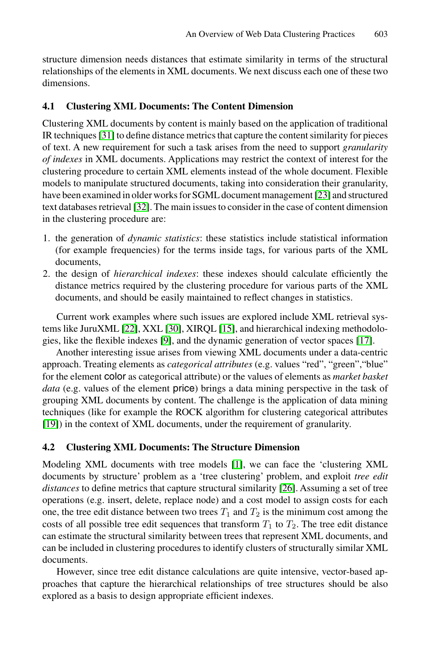structure dimension needs distances that estimate similarity in terms of the structural relationships of the elements in XML documents. We next discuss each one of these two dimensions.

#### **4.1 Clustering XML Documents: The Content Dimension**

Clustering XML documents by content is mainly based on the application of traditional IR techniques [\[31\]](#page-9-0) to define distance metrics that capture the content similarity for pieces of text. A new requirement for such a task arises from the need to support *granularity of indexes* in XML documents. Applications may restrict the context of interest for the clustering procedure to certain XML elements instead of the whole document. Flexible models to manipulate structured documents, taking into consideration their granularity, have been examined in older works for SGML document management [\[23\]](#page-8-0) and structured text databases retrieval [\[32\]](#page-9-0). The main issues to consider in the case of content dimension in the clustering procedure are:

- 1. the generation of *dynamic statistics*: these statistics include statistical information (for example frequencies) for the terms inside tags, for various parts of the XML documents,
- 2. the design of *hierarchical indexes*: these indexes should calculate efficiently the distance metrics required by the clustering procedure for various parts of the XML documents, and should be easily maintained to reflect changes in statistics.

Current work examples where such issues are explored include XML retrieval systems like JuruXML [\[22\]](#page-8-0), XXL [\[30\]](#page-9-0), XIRQL [\[15\]](#page-8-0), and hierarchical indexing methodologies, like the flexible indexes [\[9\]](#page-8-0), and the dynamic generation of vector spaces [\[17\]](#page-8-0).

Another interesting issue arises from viewing XML documents under a data-centric approach. Treating elements as *categorical attributes* (e.g. values "red", "green","blue" for the element color as categorical attribute) or the values of elements as *market basket data* (e.g. values of the element price) brings a data mining perspective in the task of grouping XML documents by content. The challenge is the application of data mining techniques (like for example the ROCK algorithm for clustering categorical attributes [\[19\]](#page-8-0)) in the context of XML documents, under the requirement of granularity.

### **4.2 Clustering XML Documents: The Structure Dimension**

Modeling XML documents with tree models [\[1\]](#page-7-0), we can face the 'clustering XML documents by structure' problem as a 'tree clustering' problem, and exploit *tree edit distances* to define metrics that capture structural similarity [\[26\]](#page-9-0). Assuming a set of tree operations (e.g. insert, delete, replace node) and a cost model to assign costs for each one, the tree edit distance between two trees  $T_1$  and  $T_2$  is the minimum cost among the costs of all possible tree edit sequences that transform  $T_1$  to  $T_2$ . The tree edit distance can estimate the structural similarity between trees that represent XML documents, and can be included in clustering procedures to identify clusters of structurally similar XML documents.

However, since tree edit distance calculations are quite intensive, vector-based approaches that capture the hierarchical relationships of tree structures should be also explored as a basis to design appropriate efficient indexes.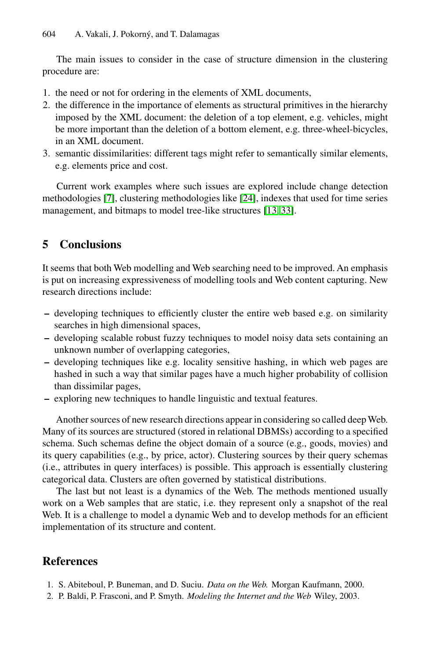<span id="page-7-0"></span>The main issues to consider in the case of structure dimension in the clustering procedure are:

- 1. the need or not for ordering in the elements of XML documents,
- 2. the difference in the importance of elements as structural primitives in the hierarchy imposed by the XML document: the deletion of a top element, e.g. vehicles, might be more important than the deletion of a bottom element, e.g. three-wheel-bicycles, in an XML document.
- 3. semantic dissimilarities: different tags might refer to semantically similar elements, e.g. elements price and cost.

Current work examples where such issues are explored include change detection methodologies [\[7\]](#page-8-0), clustering methodologies like [\[24\]](#page-8-0), indexes that used for time series management, and bitmaps to model tree-like structures [\[13,](#page-8-0) [33\]](#page-9-0).

## **5 Conclusions**

It seems that both Web modelling and Web searching need to be improved. An emphasis is put on increasing expressiveness of modelling tools and Web content capturing. New research directions include:

- **–** developing techniques to efficiently cluster the entire web based e.g. on similarity searches in high dimensional spaces,
- **–** developing scalable robust fuzzy techniques to model noisy data sets containing an unknown number of overlapping categories,
- **–** developing techniques like e.g. locality sensitive hashing, in which web pages are hashed in such a way that similar pages have a much higher probability of collision than dissimilar pages,
- **–** exploring new techniques to handle linguistic and textual features.

Another sources of new research directions appear in considering so called deep Web. Many of its sources are structured (stored in relational DBMSs) according to a specified schema. Such schemas define the object domain of a source (e.g., goods, movies) and its query capabilities (e.g., by price, actor). Clustering sources by their query schemas (i.e., attributes in query interfaces) is possible. This approach is essentially clustering categorical data. Clusters are often governed by statistical distributions.

The last but not least is a dynamics of the Web. The methods mentioned usually work on a Web samples that are static, i.e. they represent only a snapshot of the real Web. It is a challenge to model a dynamic Web and to develop methods for an efficient implementation of its structure and content.

## **References**

- 1. S. Abiteboul, P. Buneman, and D. Suciu. *Data on the Web.* Morgan Kaufmann, 2000.
- 2. P. Baldi, P. Frasconi, and P. Smyth. *Modeling the Internet and the Web* Wiley, 2003.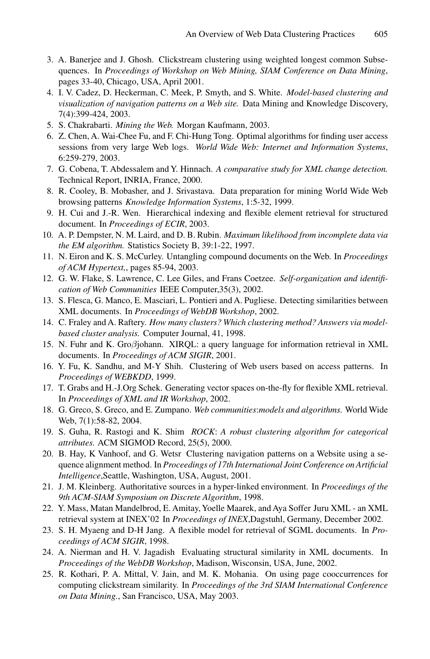- <span id="page-8-0"></span>3. A. Banerjee and J. Ghosh. Clickstream clustering using weighted longest common Subsequences. In *Proceedings of Workshop on Web Mining, SIAM Conference on Data Mining*, pages 33-40, Chicago, USA, April 2001.
- 4. I. V. Cadez, D. Heckerman, C. Meek, P. Smyth, and S. White. *Model-based clustering and visualization of navigation patterns on a Web site.* Data Mining and Knowledge Discovery, 7(4):399-424, 2003.
- 5. S. Chakrabarti. *Mining the Web.* Morgan Kaufmann, 2003.
- 6. Z. Chen, A. Wai-Chee Fu, and F. Chi-Hung Tong. Optimal algorithms for finding user access sessions from very large Web logs. *World Wide Web: Internet and Information Systems*, 6:259-279, 2003.
- 7. G. Cobena, T. Abdessalem and Y. Hinnach. *A comparative study for XML change detection.* Technical Report, INRIA, France, 2000.
- 8. R. Cooley, B. Mobasher, and J. Srivastava. Data preparation for mining World Wide Web browsing patterns *Knowledge Information Systems*, 1:5-32, 1999.
- 9. H. Cui and J.-R. Wen. Hierarchical indexing and flexible element retrieval for structured document. In *Proceedings of ECIR*, 2003.
- 10. A. P. Dempster, N. M. Laird, and D. B. Rubin. *Maximum likelihood from incomplete data via the EM algorithm.* Statistics Society B, 39:1-22, 1997.
- 11. N. Eiron and K. S. McCurley. Untangling compound documents on the Web. In *Proceedings of ACM Hypertext,*, pages 85-94, 2003.
- 12. G. W. Flake, S. Lawrence, C. Lee Giles, and Frans Coetzee. *Self-organization and identification of Web Communities* IEEE Computer,35(3), 2002.
- 13. S. Flesca, G. Manco, E. Masciari, L. Pontieri and A. Pugliese. Detecting similarities between XML documents. In *Proceedings of WebDB Workshop*, 2002.
- 14. C. Fraley and A. Raftery. *How many clusters? Which clustering method? Answers via modelbased cluster analysis.* Computer Journal, 41, 1998.
- 15. N. Fuhr and K. Groβjohann. XIRQL: a query language for information retrieval in XML documents. In *Proceedings of ACM SIGIR*, 2001.
- 16. Y. Fu, K. Sandhu, and M-Y Shih. Clustering of Web users based on access patterns. In *Proceedings of WEBKDD*, 1999.
- 17. T. Grabs and H.-J.Org Schek. Generating vector spaces on-the-fly for flexible XML retrieval. In *Proceedings of XML and IR Workshop*, 2002.
- 18. G. Greco, S. Greco, and E. Zumpano. *Web communities*:*models and algorithms.* World Wide Web, 7(1):58-82, 2004.
- 19. S. Guha, R. Rastogi and K. Shim *ROCK*: *A robust clustering algorithm for categorical attributes.* ACM SIGMOD Record, 25(5), 2000.
- 20. B. Hay, K Vanhoof, and G. Wetsr Clustering navigation patterns on a Website using a sequence alignment method. In *Proceedings of 17th International Joint Conference on Artificial Intelligence*,Seattle, Washington, USA, August, 2001.
- 21. J. M. Kleinberg. Authoritative sources in a hyper-linked environment. In *Proceedings of the 9th ACM-SIAM Symposium on Discrete Algorithm*, 1998.
- 22. Y. Mass, Matan Mandelbrod, E. Amitay, Yoelle Maarek, and Aya Soffer Juru XML an XML retrieval system at INEX'02 In *Proceedings of INEX*,Dagstuhl, Germany, December 2002.
- 23. S. H. Myaeng and D-H Jang. A flexible model for retrieval of SGML documents. In *Proceedings of ACM SIGIR*, 1998.
- 24. A. Nierman and H. V. Jagadish Evaluating structural similarity in XML documents. In *Proceedings of the WebDB Workshop*, Madison, Wisconsin, USA, June, 2002.
- 25. R. Kothari, P. A. Mittal, V. Jain, and M. K. Mohania. On using page cooccurrences for computing clickstream similarity. In *Proceedings of the 3rd SIAM International Conference on Data Mining.*, San Francisco, USA, May 2003.